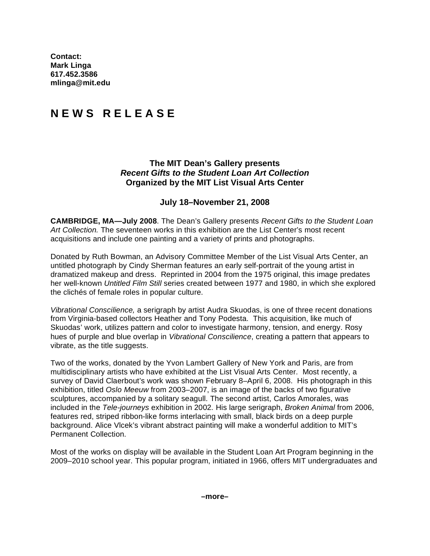**Contact: Mark Linga 617.452.3586 mlinga@mit.edu**

## **N E W S R E L E A S E**

## **The MIT Dean's Gallery presents**  *Recent Gifts to the Student Loan Art Collection*  **Organized by the MIT List Visual Arts Center**

## **July 18–November 21, 2008**

**CAMBRIDGE, MA—July 2008**. The Dean's Gallery presents *Recent Gifts to the Student Loan Art Collection.* The seventeen works in this exhibition are the List Center's most recent acquisitions and include one painting and a variety of prints and photographs.

Donated by Ruth Bowman, an Advisory Committee Member of the List Visual Arts Center, an untitled photograph by Cindy Sherman features an early self-portrait of the young artist in dramatized makeup and dress. Reprinted in 2004 from the 1975 original, this image predates her well-known *Untitled Film Still* series created between 1977 and 1980, in which she explored the clichés of female roles in popular culture.

*Vibrational Conscilience,* a serigraph by artist Audra Skuodas, is one of three recent donations from Virginia-based collectors Heather and Tony Podesta. This acquisition, like much of Skuodas' work, utilizes pattern and color to investigate harmony, tension, and energy. Rosy hues of purple and blue overlap in *Vibrational Conscilience*, creating a pattern that appears to vibrate, as the title suggests.

Two of the works, donated by the Yvon Lambert Gallery of New York and Paris, are from multidisciplinary artists who have exhibited at the List Visual Arts Center. Most recently, a survey of David Claerbout's work was shown February 8–April 6, 2008. His photograph in this exhibition, titled *Oslo Meeuw* from 2003–2007, is an image of the backs of two figurative sculptures, accompanied by a solitary seagull. The second artist, Carlos Amorales, was included in the *Tele-journeys* exhibition in 2002. His large serigraph, *Broken Animal* from 2006, features red, striped ribbon-like forms interlacing with small, black birds on a deep purple background. Alice Vlcek's vibrant abstract painting will make a wonderful addition to MIT's Permanent Collection.

Most of the works on display will be available in the Student Loan Art Program beginning in the 2009–2010 school year. This popular program, initiated in 1966, offers MIT undergraduates and

**–more–**